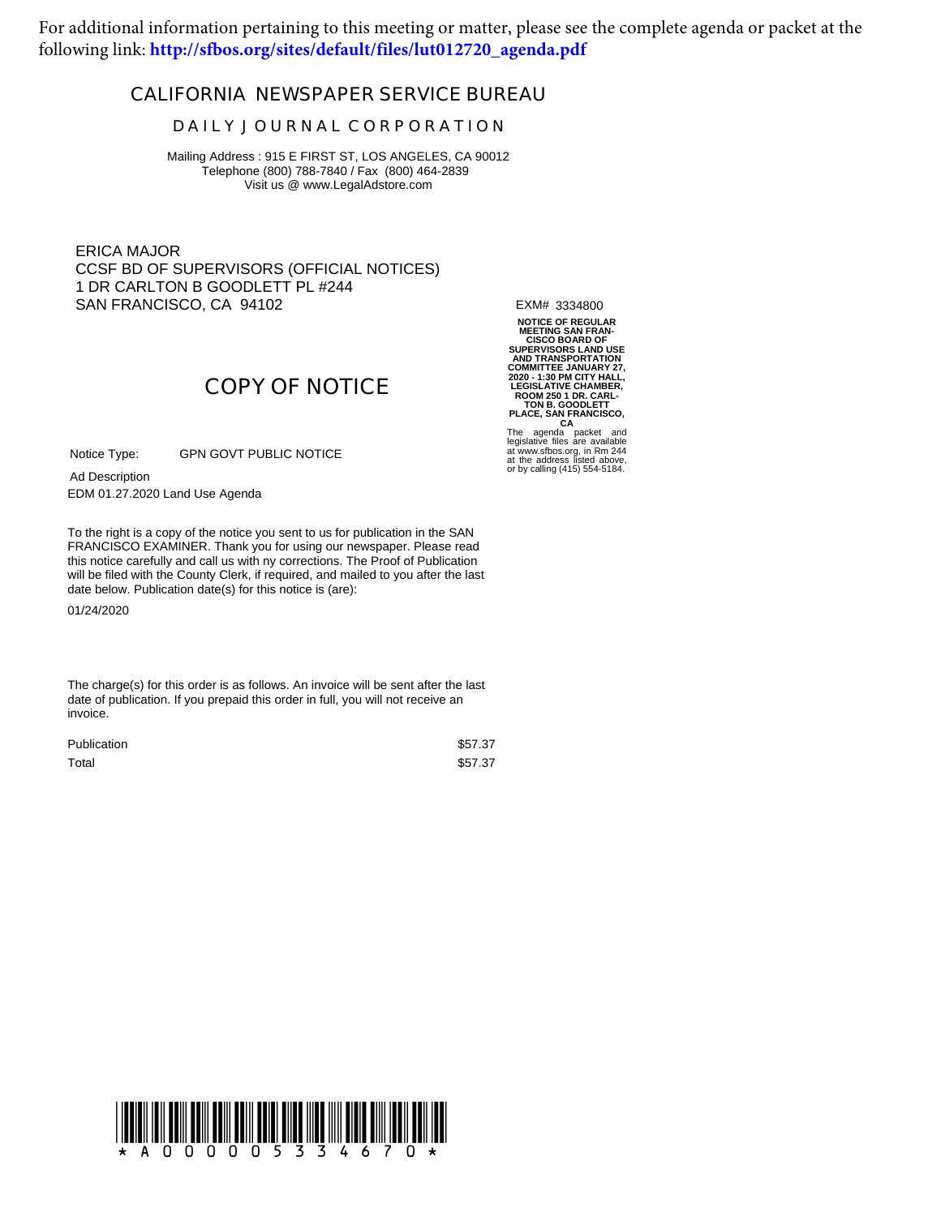For additional information pertaining to this meeting or matter, please see the complete agenda or packet at the following link: **[http://sfbos.org/sites/default/files/lut012720\\_agenda.pdf](http://sfbos.org/sites/default/files/lut012720_agenda.pdf)**

## **CALIFORNIA NEWSPAPER SERVICE BUREAU**

## **D A I L Y J O U R N A L C O R P O R A T I O N**

Mailing Address : 915 E FIRST ST, LOS ANGELES, CA 90012 Telephone (800) 788-7840 / Fax (800) 464-2839 Visit us @ www.LegalAdstore.com

ERICA MAJOR CCSF BD OF SUPERVISORS (OFFICIAL NOTICES) 1 DR CARLTON B GOODLETT PL #244 SAN FRANCISCO, CA 94102

EXM# 3334800

**NOTICE OF REGULAR MEETING SAN FRAN-CISCO BOARD OF SUPERVISORS LAND USE AND TRANSPORTATION** COMMITTEE JANUARY 27,<br>2020 - 1:30 PM CITY HALL,<br>LEGISLATIVE CHAMBER,<br>ROOM 250 1 DR. CARL-<br>TON B. GOODLETT<br>PLACE, SAN FRANCISCO,<br>The agenda packet and<br>legislative files are available<br>at tww.sfbos.org, in Rm 244<br>at the addre

or by calling (415) 554-5184.

GPN GOVT PUBLIC NOTICE Notice Type:

EDM 01.27.2020 Land Use Agenda Ad Description

FRANCISCO EXAMINER. Thank you for using our newspaper. Please read<br>this notice carefully and call us with ny corrections. The Proof of Publication To the right is a copy of the notice you sent to us for publication in the SAN FRANCISCO EXAMINER. Thank you for using our newspaper. Please read will be filed with the County Clerk, if required, and mailed to you after the last date below. Publication date(s) for this notice is (are):

**COPY OF NOTICE**

01/24/2020

The charge(s) for this order is as follows. An invoice will be sent after the last date of publication. If you prepaid this order in full, you will not receive an invoice.

| Publication | \$57.37 |
|-------------|---------|
| Total       | \$57.37 |